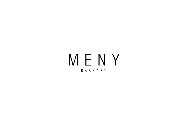# MENY BARKART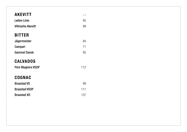| <b>AKEVITT</b>           | 4c  |
|--------------------------|-----|
| <b>Løiten Linie</b>      | 95  |
| <b>Villmarks Akevitt</b> | 99  |
| <b>BITTER</b>            |     |
| Jägermeister             | 84  |
| Campari                  | 71  |
| <b>Gammel Dansk</b>      | 95  |
| <b>CALVADOS</b>          |     |
| Pére Magloire VSOP       | 112 |
| <b>COGNAC</b>            |     |
| <b>Braastad VS</b>       | 99  |
| <b>Braastad VSOP</b>     | 111 |
| <b>Braastad XO</b>       | 137 |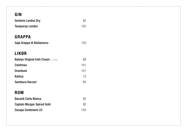| ×<br>_ |
|--------|
|--------|

| <b>Gordons London Dry</b>                    | 92  |
|----------------------------------------------|-----|
| <b>Tanqueray London</b>                      | 102 |
|                                              |     |
| <b>GRAPPA</b>                                |     |
| Gaja Grappa di Barbaresco                    | 133 |
|                                              |     |
| LIKØR                                        |     |
| <b>Baileys Original Irish Cream L (melk)</b> | 69  |
| Cointreau                                    | 101 |
| <b>Drambuie</b>                              | 101 |
| Kahlua                                       | 73  |
| Sambuca Vaccari                              | 85  |
|                                              |     |
| <b>ROM</b>                                   |     |
| <b>Bacardi Carta Blanca</b>                  | 92  |
| <b>Captain Morgan Spiced Gold</b>            | 92  |
| Zacapa Centenario 23                         | 143 |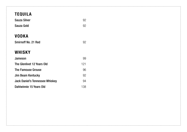# VODKA Smirnoff No. 21 Red 92 WHISKY Jameson 99 The Glenlivet 12 Years Old 121 The Famouse Grouse **6.** The Famouse 6. The Famouse 6. The Second 196 Jim Beam Kentucky 92 Jack Daniel's Tennessee Whiskey 94 Dahlwinnie 15 Years Old 138 TEQUILA Sauza Silver 92 Sauza Gold 92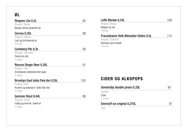# ØL

| 92  |
|-----|
|     |
| 98  |
|     |
| 94  |
|     |
| 91  |
|     |
| 105 |
|     |
| 98  |
|     |
|     |
|     |

| Leffe Blonde 0,33L                      |     |
|-----------------------------------------|-----|
| Ringnes, Belgia                         |     |
| Belgisk lys ale                         |     |
| G (bygg)                                |     |
| Franziskaner Hefe Weissbier Helles 0,5L | 11հ |
| Ringnes, Tyskland                       |     |
| Klassisk tysk hveteøl                   |     |
| G (hvete)                               |     |

# CIDER OG ALKOPOPS

| Somersby double press 0,33L  | Хh |
|------------------------------|----|
| Sverige                      |    |
| Cider.                       |    |
| G (hvete)                    |    |
| Smirnoff ice original 0,275L |    |

USA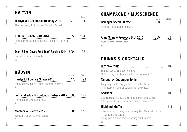## HVITVIN

| <b>Hardys Mill Cellars Chardonnay 2016</b>                                                | Flaske<br>470 | Glass<br>94 |
|-------------------------------------------------------------------------------------------|---------------|-------------|
| Thomas Hardy, South Eastern Australia, Australia<br>Su                                    |               |             |
| L. Dupatis Chablis AC 2014<br>Union des Viticulteurs de Chablis, Burgund, Frankrike<br>Su | 665           | 134         |
| Dopff & Irion Cuvèe Renè Dopff Riesling 2014 609                                          |               | 122         |
| Dopff/Irion, Alsace, Frankrike                                                            |               |             |

Su

# RØDVIN

|                                                  | Flaske | Glass |
|--------------------------------------------------|--------|-------|
| <b>Hardys Mill Cellars Shiraz 2016</b>           | 470.   | 94    |
| Thomas Hardy, South Eastern Australia, Australia |        |       |
| S <sub>H</sub>                                   |        |       |

| <b>Fontanafredda Briccotondo Barbera 2015</b> 605 | -122 |
|---------------------------------------------------|------|
| Fontanafredda, Piemonte, Italia<br>S <sub>H</sub> |      |
|                                                   |      |

#### Montecillo Crianza 2012 580 115

Bodegas Montecillo, Rioja, Spania Su

# CHAMPAGNE / MUSSERENDE

|                                       | Flaske | Glass |
|---------------------------------------|--------|-------|
| <b>Bollinger Special Cuvee</b>        | 800    | 135   |
| Bollinger, Champagne, Frankrike<br>Su |        |       |
| Anna Spinato Prosecco Brut 2015       | 560    | 98    |
| Anna Spinato, Veneto, Italia          |        |       |
|                                       |        |       |

DRINKS & COCKTAILS

| Smirnoff vodka, lime & ginger beer<br>"A Classic light vodka drink with refreshing ginger"                   |     |
|--------------------------------------------------------------------------------------------------------------|-----|
| <b>Tanqueray Cucumber Tonic</b>                                                                              | 111 |
| Tangueray London dry gin, lime, cucumber & tonic<br>"A fantastic gin and tonic. Light, soft and crisp."      |     |
| <b>Scarface</b>                                                                                              |     |
| Captain Morgan Spiced Gold, lime, brown sugar & cola<br>"Strong and delicious flavours, a pimped cuba libre" |     |
| <b>Highland Muffin</b>                                                                                       |     |
| Dalwhinnie scotch single malt whisky, Bols Creme de Cassis,                                                  |     |
| lime, sugar & Epleslang                                                                                      |     |
| "Fruity with a hint of smoke, exciting combination"                                                          |     |
| Su                                                                                                           |     |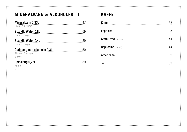# MINERALVANN & ALKOHOLFRITT

| Mineralvann 0,33L<br>Coca Cola, Norge                        |     |
|--------------------------------------------------------------|-----|
| Scandic Water 0,8L [19] Scandic Water 0,8L<br>Scandic, Norge | 59  |
| <b>Scandic Water 0,4L</b><br>Scandic, Norge                  |     |
| Carlsberg non alkoholic 0,3L<br>Ringnes, Danmark<br>G (bygg) | -50 |
| Epleslang $0,25L$                                            |     |

Norge Su

### KAFFE

| Kaffe           |  |
|-----------------|--|
| <b>Espresso</b> |  |
|                 |  |
|                 |  |
| Americano       |  |
| Te              |  |